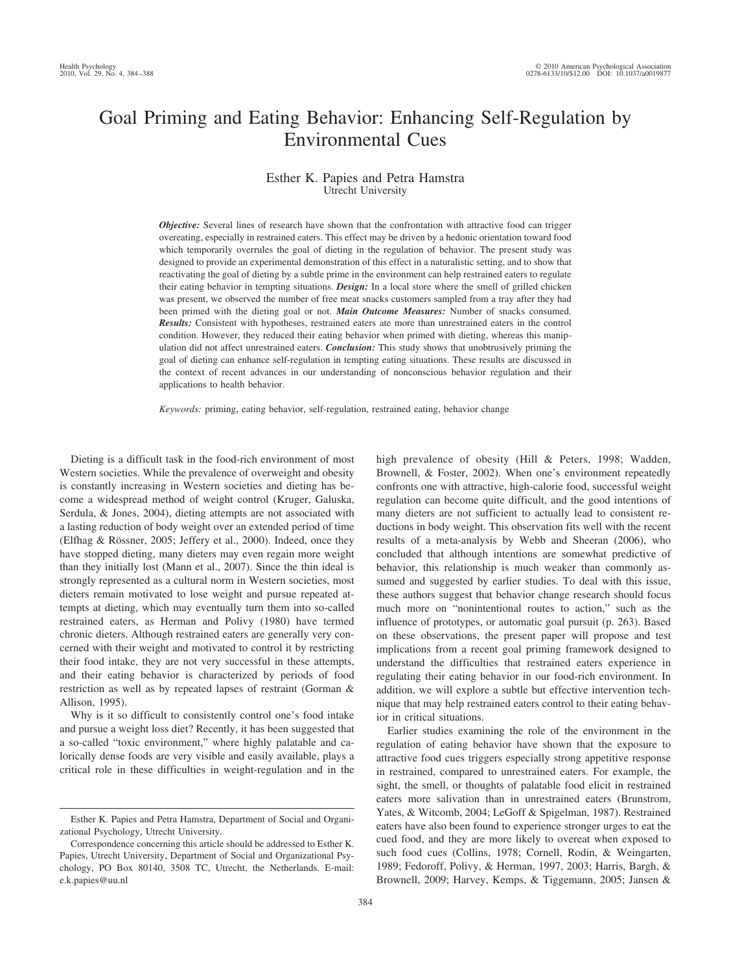# Goal Priming and Eating Behavior: Enhancing Self-Regulation by Environmental Cues

## Esther K. Papies and Petra Hamstra Utrecht University

*Objective:* Several lines of research have shown that the confrontation with attractive food can trigger overeating, especially in restrained eaters. This effect may be driven by a hedonic orientation toward food which temporarily overrules the goal of dieting in the regulation of behavior. The present study was designed to provide an experimental demonstration of this effect in a naturalistic setting, and to show that reactivating the goal of dieting by a subtle prime in the environment can help restrained eaters to regulate their eating behavior in tempting situations. *Design:* In a local store where the smell of grilled chicken was present, we observed the number of free meat snacks customers sampled from a tray after they had been primed with the dieting goal or not. *Main Outcome Measures:* Number of snacks consumed. *Results:* Consistent with hypotheses, restrained eaters ate more than unrestrained eaters in the control condition. However, they reduced their eating behavior when primed with dieting, whereas this manipulation did not affect unrestrained eaters. *Conclusion:* This study shows that unobtrusively priming the goal of dieting can enhance self-regulation in tempting eating situations. These results are discussed in the context of recent advances in our understanding of nonconscious behavior regulation and their applications to health behavior.

*Keywords:* priming, eating behavior, self-regulation, restrained eating, behavior change

Dieting is a difficult task in the food-rich environment of most Western societies. While the prevalence of overweight and obesity is constantly increasing in Western societies and dieting has become a widespread method of weight control (Kruger, Galuska, Serdula, & Jones, 2004), dieting attempts are not associated with a lasting reduction of body weight over an extended period of time (Elfhag & Rössner, 2005; Jeffery et al., 2000). Indeed, once they have stopped dieting, many dieters may even regain more weight than they initially lost (Mann et al., 2007). Since the thin ideal is strongly represented as a cultural norm in Western societies, most dieters remain motivated to lose weight and pursue repeated attempts at dieting, which may eventually turn them into so-called restrained eaters, as Herman and Polivy (1980) have termed chronic dieters. Although restrained eaters are generally very concerned with their weight and motivated to control it by restricting their food intake, they are not very successful in these attempts, and their eating behavior is characterized by periods of food restriction as well as by repeated lapses of restraint (Gorman & Allison, 1995).

Why is it so difficult to consistently control one's food intake and pursue a weight loss diet? Recently, it has been suggested that a so-called "toxic environment," where highly palatable and calorically dense foods are very visible and easily available, plays a critical role in these difficulties in weight-regulation and in the high prevalence of obesity (Hill & Peters, 1998; Wadden, Brownell, & Foster, 2002). When one's environment repeatedly confronts one with attractive, high-calorie food, successful weight regulation can become quite difficult, and the good intentions of many dieters are not sufficient to actually lead to consistent reductions in body weight. This observation fits well with the recent results of a meta-analysis by Webb and Sheeran (2006), who concluded that although intentions are somewhat predictive of behavior, this relationship is much weaker than commonly assumed and suggested by earlier studies. To deal with this issue, these authors suggest that behavior change research should focus much more on "nonintentional routes to action," such as the influence of prototypes, or automatic goal pursuit (p. 263). Based on these observations, the present paper will propose and test implications from a recent goal priming framework designed to understand the difficulties that restrained eaters experience in regulating their eating behavior in our food-rich environment. In addition, we will explore a subtle but effective intervention technique that may help restrained eaters control to their eating behavior in critical situations.

Earlier studies examining the role of the environment in the regulation of eating behavior have shown that the exposure to attractive food cues triggers especially strong appetitive response in restrained, compared to unrestrained eaters. For example, the sight, the smell, or thoughts of palatable food elicit in restrained eaters more salivation than in unrestrained eaters (Brunstrom, Yates, & Witcomb, 2004; LeGoff & Spigelman, 1987). Restrained eaters have also been found to experience stronger urges to eat the cued food, and they are more likely to overeat when exposed to such food cues (Collins, 1978; Cornell, Rodin, & Weingarten, 1989; Fedoroff, Polivy, & Herman, 1997, 2003; Harris, Bargh, & Brownell, 2009; Harvey, Kemps, & Tiggemann, 2005; Jansen &

Esther K. Papies and Petra Hamstra, Department of Social and Organizational Psychology, Utrecht University.

Correspondence concerning this article should be addressed to Esther K. Papies, Utrecht University, Department of Social and Organizational Psychology, PO Box 80140, 3508 TC, Utrecht, the Netherlands. E-mail: e.k.papies@uu.nl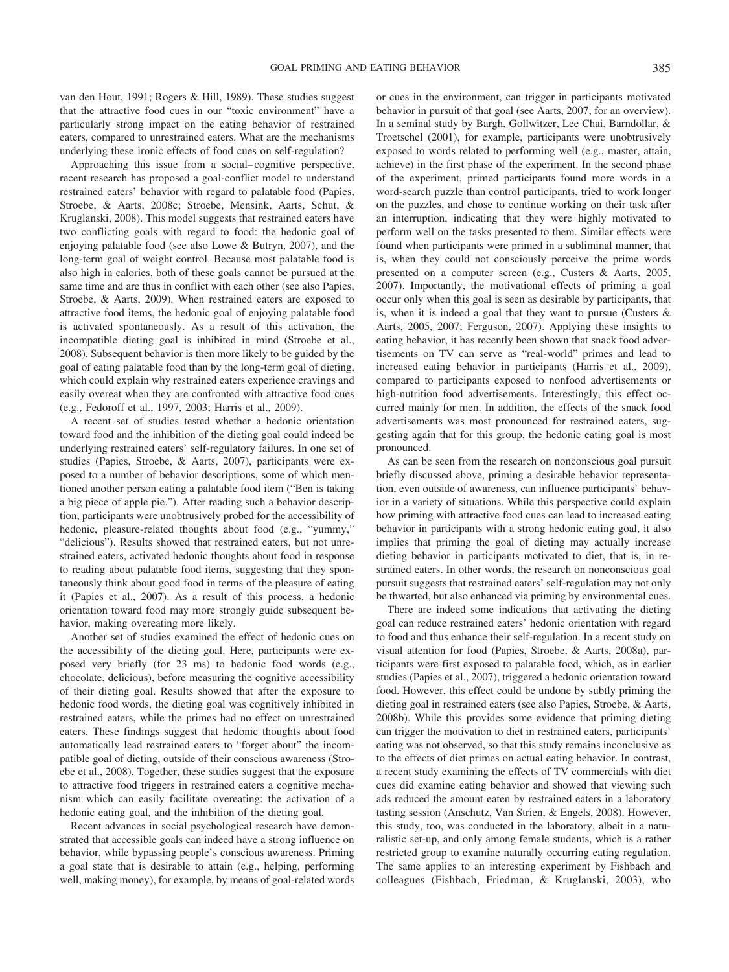van den Hout, 1991; Rogers & Hill, 1989). These studies suggest that the attractive food cues in our "toxic environment" have a particularly strong impact on the eating behavior of restrained eaters, compared to unrestrained eaters. What are the mechanisms underlying these ironic effects of food cues on self-regulation?

Approaching this issue from a social– cognitive perspective, recent research has proposed a goal-conflict model to understand restrained eaters' behavior with regard to palatable food (Papies, Stroebe, & Aarts, 2008c; Stroebe, Mensink, Aarts, Schut, & Kruglanski, 2008). This model suggests that restrained eaters have two conflicting goals with regard to food: the hedonic goal of enjoying palatable food (see also Lowe & Butryn, 2007), and the long-term goal of weight control. Because most palatable food is also high in calories, both of these goals cannot be pursued at the same time and are thus in conflict with each other (see also Papies, Stroebe, & Aarts, 2009). When restrained eaters are exposed to attractive food items, the hedonic goal of enjoying palatable food is activated spontaneously. As a result of this activation, the incompatible dieting goal is inhibited in mind (Stroebe et al., 2008). Subsequent behavior is then more likely to be guided by the goal of eating palatable food than by the long-term goal of dieting, which could explain why restrained eaters experience cravings and easily overeat when they are confronted with attractive food cues (e.g., Fedoroff et al., 1997, 2003; Harris et al., 2009).

A recent set of studies tested whether a hedonic orientation toward food and the inhibition of the dieting goal could indeed be underlying restrained eaters' self-regulatory failures. In one set of studies (Papies, Stroebe, & Aarts, 2007), participants were exposed to a number of behavior descriptions, some of which mentioned another person eating a palatable food item ("Ben is taking a big piece of apple pie."). After reading such a behavior description, participants were unobtrusively probed for the accessibility of hedonic, pleasure-related thoughts about food (e.g., "yummy," "delicious"). Results showed that restrained eaters, but not unrestrained eaters, activated hedonic thoughts about food in response to reading about palatable food items, suggesting that they spontaneously think about good food in terms of the pleasure of eating it (Papies et al., 2007). As a result of this process, a hedonic orientation toward food may more strongly guide subsequent behavior, making overeating more likely.

Another set of studies examined the effect of hedonic cues on the accessibility of the dieting goal. Here, participants were exposed very briefly (for 23 ms) to hedonic food words (e.g., chocolate, delicious), before measuring the cognitive accessibility of their dieting goal. Results showed that after the exposure to hedonic food words, the dieting goal was cognitively inhibited in restrained eaters, while the primes had no effect on unrestrained eaters. These findings suggest that hedonic thoughts about food automatically lead restrained eaters to "forget about" the incompatible goal of dieting, outside of their conscious awareness (Stroebe et al., 2008). Together, these studies suggest that the exposure to attractive food triggers in restrained eaters a cognitive mechanism which can easily facilitate overeating: the activation of a hedonic eating goal, and the inhibition of the dieting goal.

Recent advances in social psychological research have demonstrated that accessible goals can indeed have a strong influence on behavior, while bypassing people's conscious awareness. Priming a goal state that is desirable to attain (e.g., helping, performing well, making money), for example, by means of goal-related words or cues in the environment, can trigger in participants motivated behavior in pursuit of that goal (see Aarts, 2007, for an overview). In a seminal study by Bargh, Gollwitzer, Lee Chai, Barndollar, & Troetschel (2001), for example, participants were unobtrusively exposed to words related to performing well (e.g., master, attain, achieve) in the first phase of the experiment. In the second phase of the experiment, primed participants found more words in a word-search puzzle than control participants, tried to work longer on the puzzles, and chose to continue working on their task after an interruption, indicating that they were highly motivated to perform well on the tasks presented to them. Similar effects were found when participants were primed in a subliminal manner, that is, when they could not consciously perceive the prime words presented on a computer screen (e.g., Custers & Aarts, 2005, 2007). Importantly, the motivational effects of priming a goal occur only when this goal is seen as desirable by participants, that is, when it is indeed a goal that they want to pursue (Custers & Aarts, 2005, 2007; Ferguson, 2007). Applying these insights to eating behavior, it has recently been shown that snack food advertisements on TV can serve as "real-world" primes and lead to increased eating behavior in participants (Harris et al., 2009), compared to participants exposed to nonfood advertisements or high-nutrition food advertisements. Interestingly, this effect occurred mainly for men. In addition, the effects of the snack food advertisements was most pronounced for restrained eaters, suggesting again that for this group, the hedonic eating goal is most pronounced.

As can be seen from the research on nonconscious goal pursuit briefly discussed above, priming a desirable behavior representation, even outside of awareness, can influence participants' behavior in a variety of situations. While this perspective could explain how priming with attractive food cues can lead to increased eating behavior in participants with a strong hedonic eating goal, it also implies that priming the goal of dieting may actually increase dieting behavior in participants motivated to diet, that is, in restrained eaters. In other words, the research on nonconscious goal pursuit suggests that restrained eaters' self-regulation may not only be thwarted, but also enhanced via priming by environmental cues.

There are indeed some indications that activating the dieting goal can reduce restrained eaters' hedonic orientation with regard to food and thus enhance their self-regulation. In a recent study on visual attention for food (Papies, Stroebe, & Aarts, 2008a), participants were first exposed to palatable food, which, as in earlier studies (Papies et al., 2007), triggered a hedonic orientation toward food. However, this effect could be undone by subtly priming the dieting goal in restrained eaters (see also Papies, Stroebe, & Aarts, 2008b). While this provides some evidence that priming dieting can trigger the motivation to diet in restrained eaters, participants' eating was not observed, so that this study remains inconclusive as to the effects of diet primes on actual eating behavior. In contrast, a recent study examining the effects of TV commercials with diet cues did examine eating behavior and showed that viewing such ads reduced the amount eaten by restrained eaters in a laboratory tasting session (Anschutz, Van Strien, & Engels, 2008). However, this study, too, was conducted in the laboratory, albeit in a naturalistic set-up, and only among female students, which is a rather restricted group to examine naturally occurring eating regulation. The same applies to an interesting experiment by Fishbach and colleagues (Fishbach, Friedman, & Kruglanski, 2003), who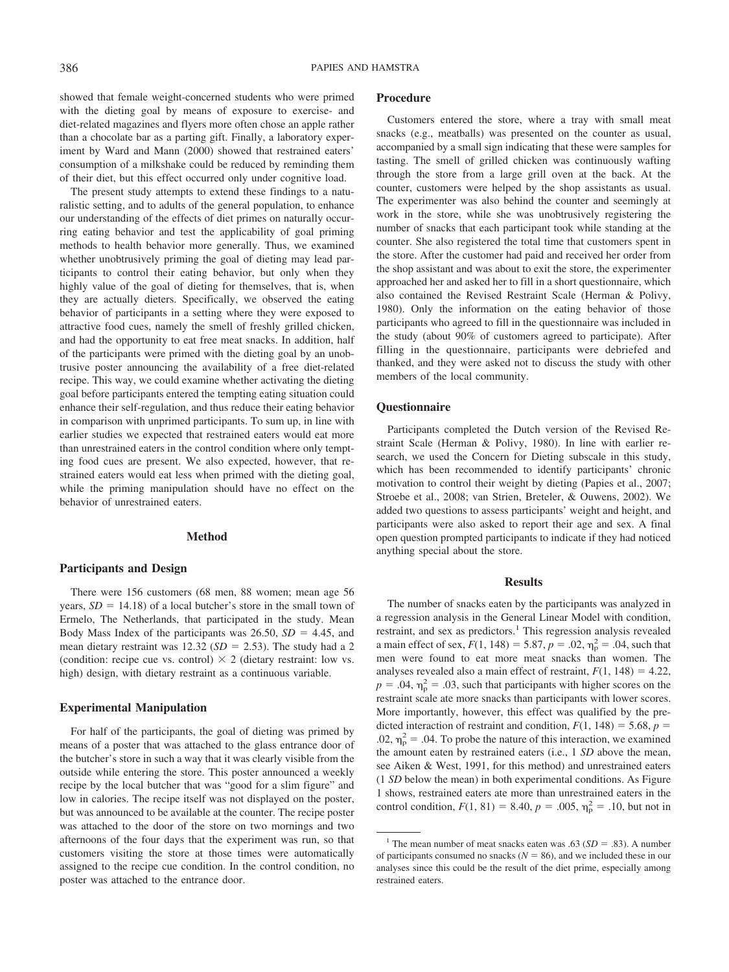showed that female weight-concerned students who were primed with the dieting goal by means of exposure to exercise- and diet-related magazines and flyers more often chose an apple rather than a chocolate bar as a parting gift. Finally, a laboratory experiment by Ward and Mann (2000) showed that restrained eaters' consumption of a milkshake could be reduced by reminding them of their diet, but this effect occurred only under cognitive load.

The present study attempts to extend these findings to a naturalistic setting, and to adults of the general population, to enhance our understanding of the effects of diet primes on naturally occurring eating behavior and test the applicability of goal priming methods to health behavior more generally. Thus, we examined whether unobtrusively priming the goal of dieting may lead participants to control their eating behavior, but only when they highly value of the goal of dieting for themselves, that is, when they are actually dieters. Specifically, we observed the eating behavior of participants in a setting where they were exposed to attractive food cues, namely the smell of freshly grilled chicken, and had the opportunity to eat free meat snacks. In addition, half of the participants were primed with the dieting goal by an unobtrusive poster announcing the availability of a free diet-related recipe. This way, we could examine whether activating the dieting goal before participants entered the tempting eating situation could enhance their self-regulation, and thus reduce their eating behavior in comparison with unprimed participants. To sum up, in line with earlier studies we expected that restrained eaters would eat more than unrestrained eaters in the control condition where only tempting food cues are present. We also expected, however, that restrained eaters would eat less when primed with the dieting goal, while the priming manipulation should have no effect on the behavior of unrestrained eaters.

## **Method**

#### **Participants and Design**

There were 156 customers (68 men, 88 women; mean age 56 years,  $SD = 14.18$ ) of a local butcher's store in the small town of Ermelo, The Netherlands, that participated in the study. Mean Body Mass Index of the participants was  $26.50$ ,  $SD = 4.45$ , and mean dietary restraint was  $12.32$  ( $SD = 2.53$ ). The study had a 2 (condition: recipe cue vs. control)  $\times$  2 (dietary restraint: low vs. high) design, with dietary restraint as a continuous variable.

## **Experimental Manipulation**

For half of the participants, the goal of dieting was primed by means of a poster that was attached to the glass entrance door of the butcher's store in such a way that it was clearly visible from the outside while entering the store. This poster announced a weekly recipe by the local butcher that was "good for a slim figure" and low in calories. The recipe itself was not displayed on the poster, but was announced to be available at the counter. The recipe poster was attached to the door of the store on two mornings and two afternoons of the four days that the experiment was run, so that customers visiting the store at those times were automatically assigned to the recipe cue condition. In the control condition, no poster was attached to the entrance door.

## **Procedure**

Customers entered the store, where a tray with small meat snacks (e.g., meatballs) was presented on the counter as usual, accompanied by a small sign indicating that these were samples for tasting. The smell of grilled chicken was continuously wafting through the store from a large grill oven at the back. At the counter, customers were helped by the shop assistants as usual. The experimenter was also behind the counter and seemingly at work in the store, while she was unobtrusively registering the number of snacks that each participant took while standing at the counter. She also registered the total time that customers spent in the store. After the customer had paid and received her order from the shop assistant and was about to exit the store, the experimenter approached her and asked her to fill in a short questionnaire, which also contained the Revised Restraint Scale (Herman & Polivy, 1980). Only the information on the eating behavior of those participants who agreed to fill in the questionnaire was included in the study (about 90% of customers agreed to participate). After filling in the questionnaire, participants were debriefed and thanked, and they were asked not to discuss the study with other members of the local community.

#### **Questionnaire**

Participants completed the Dutch version of the Revised Restraint Scale (Herman & Polivy, 1980). In line with earlier research, we used the Concern for Dieting subscale in this study, which has been recommended to identify participants' chronic motivation to control their weight by dieting (Papies et al., 2007; Stroebe et al., 2008; van Strien, Breteler, & Ouwens, 2002). We added two questions to assess participants' weight and height, and participants were also asked to report their age and sex. A final open question prompted participants to indicate if they had noticed anything special about the store.

### **Results**

The number of snacks eaten by the participants was analyzed in a regression analysis in the General Linear Model with condition, restraint, and sex as predictors.<sup>1</sup> This regression analysis revealed a main effect of sex,  $F(1, 148) = 5.87$ ,  $p = .02$ ,  $\eta_p^2 = .04$ , such that men were found to eat more meat snacks than women. The analyses revealed also a main effect of restraint,  $F(1, 148) = 4.22$ ,  $p = .04$ ,  $\eta_p^2 = .03$ , such that participants with higher scores on the restraint scale ate more snacks than participants with lower scores. More importantly, however, this effect was qualified by the predicted interaction of restraint and condition,  $F(1, 148) = 5.68$ ,  $p =$ .02,  $\eta_p^2 = .04$ . To probe the nature of this interaction, we examined the amount eaten by restrained eaters (i.e., 1 *SD* above the mean, see Aiken & West, 1991, for this method) and unrestrained eaters (1 *SD* below the mean) in both experimental conditions. As Figure 1 shows, restrained eaters ate more than unrestrained eaters in the control condition,  $F(1, 81) = 8.40$ ,  $p = .005$ ,  $\eta_p^2 = .10$ , but not in

<sup>&</sup>lt;sup>1</sup> The mean number of meat snacks eaten was .63 ( $SD = .83$ ). A number of participants consumed no snacks ( $N = 86$ ), and we included these in our analyses since this could be the result of the diet prime, especially among restrained eaters.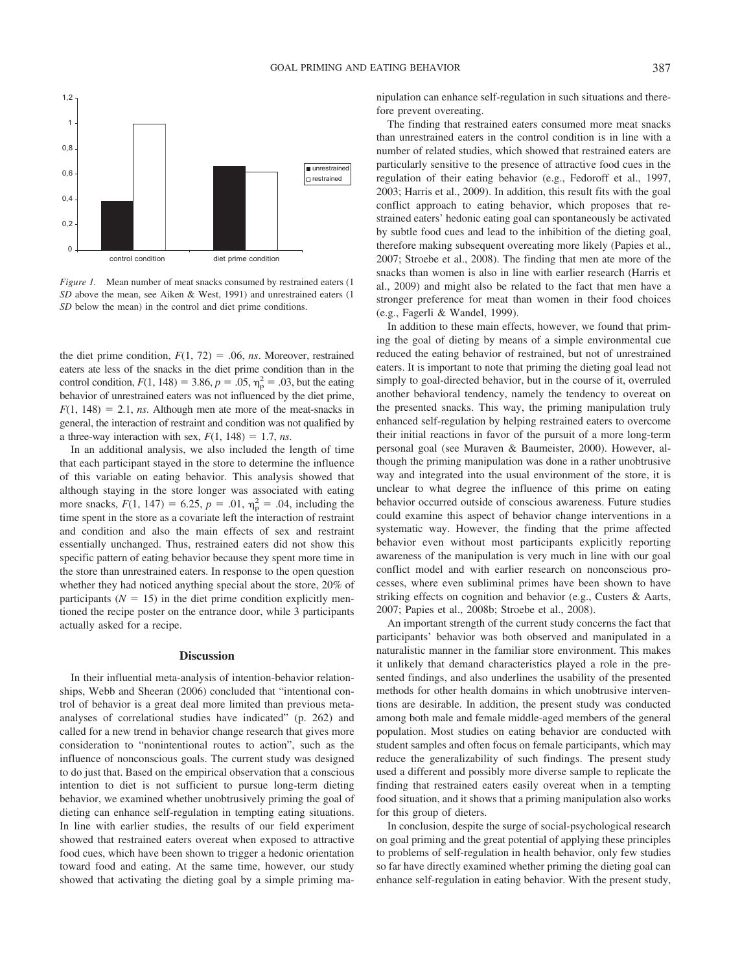

*Figure 1.* Mean number of meat snacks consumed by restrained eaters (1) *SD* above the mean, see Aiken & West, 1991) and unrestrained eaters (1 *SD* below the mean) in the control and diet prime conditions.

the diet prime condition,  $F(1, 72) = .06$ , *ns*. Moreover, restrained eaters ate less of the snacks in the diet prime condition than in the control condition,  $F(1, 148) = 3.86$ ,  $p = .05$ ,  $\eta_p^2 = .03$ , but the eating behavior of unrestrained eaters was not influenced by the diet prime,  $F(1, 148) = 2.1$ , *ns*. Although men ate more of the meat-snacks in general, the interaction of restraint and condition was not qualified by a three-way interaction with sex,  $F(1, 148) = 1.7$ , *ns*.

In an additional analysis, we also included the length of time that each participant stayed in the store to determine the influence of this variable on eating behavior. This analysis showed that although staying in the store longer was associated with eating more snacks,  $F(1, 147) = 6.25$ ,  $p = .01$ ,  $\eta_p^2 = .04$ , including the time spent in the store as a covariate left the interaction of restraint and condition and also the main effects of sex and restraint essentially unchanged. Thus, restrained eaters did not show this specific pattern of eating behavior because they spent more time in the store than unrestrained eaters. In response to the open question whether they had noticed anything special about the store, 20% of participants ( $N = 15$ ) in the diet prime condition explicitly mentioned the recipe poster on the entrance door, while 3 participants actually asked for a recipe.

#### **Discussion**

In their influential meta-analysis of intention-behavior relationships, Webb and Sheeran (2006) concluded that "intentional control of behavior is a great deal more limited than previous metaanalyses of correlational studies have indicated" (p. 262) and called for a new trend in behavior change research that gives more consideration to "nonintentional routes to action", such as the influence of nonconscious goals. The current study was designed to do just that. Based on the empirical observation that a conscious intention to diet is not sufficient to pursue long-term dieting behavior, we examined whether unobtrusively priming the goal of dieting can enhance self-regulation in tempting eating situations. In line with earlier studies, the results of our field experiment showed that restrained eaters overeat when exposed to attractive food cues, which have been shown to trigger a hedonic orientation toward food and eating. At the same time, however, our study showed that activating the dieting goal by a simple priming manipulation can enhance self-regulation in such situations and therefore prevent overeating.

The finding that restrained eaters consumed more meat snacks than unrestrained eaters in the control condition is in line with a number of related studies, which showed that restrained eaters are particularly sensitive to the presence of attractive food cues in the regulation of their eating behavior (e.g., Fedoroff et al., 1997, 2003; Harris et al., 2009). In addition, this result fits with the goal conflict approach to eating behavior, which proposes that restrained eaters' hedonic eating goal can spontaneously be activated by subtle food cues and lead to the inhibition of the dieting goal, therefore making subsequent overeating more likely (Papies et al., 2007; Stroebe et al., 2008). The finding that men ate more of the snacks than women is also in line with earlier research (Harris et al., 2009) and might also be related to the fact that men have a stronger preference for meat than women in their food choices (e.g., Fagerli & Wandel, 1999).

In addition to these main effects, however, we found that priming the goal of dieting by means of a simple environmental cue reduced the eating behavior of restrained, but not of unrestrained eaters. It is important to note that priming the dieting goal lead not simply to goal-directed behavior, but in the course of it, overruled another behavioral tendency, namely the tendency to overeat on the presented snacks. This way, the priming manipulation truly enhanced self-regulation by helping restrained eaters to overcome their initial reactions in favor of the pursuit of a more long-term personal goal (see Muraven & Baumeister, 2000). However, although the priming manipulation was done in a rather unobtrusive way and integrated into the usual environment of the store, it is unclear to what degree the influence of this prime on eating behavior occurred outside of conscious awareness. Future studies could examine this aspect of behavior change interventions in a systematic way. However, the finding that the prime affected behavior even without most participants explicitly reporting awareness of the manipulation is very much in line with our goal conflict model and with earlier research on nonconscious processes, where even subliminal primes have been shown to have striking effects on cognition and behavior (e.g., Custers & Aarts, 2007; Papies et al., 2008b; Stroebe et al., 2008).

An important strength of the current study concerns the fact that participants' behavior was both observed and manipulated in a naturalistic manner in the familiar store environment. This makes it unlikely that demand characteristics played a role in the presented findings, and also underlines the usability of the presented methods for other health domains in which unobtrusive interventions are desirable. In addition, the present study was conducted among both male and female middle-aged members of the general population. Most studies on eating behavior are conducted with student samples and often focus on female participants, which may reduce the generalizability of such findings. The present study used a different and possibly more diverse sample to replicate the finding that restrained eaters easily overeat when in a tempting food situation, and it shows that a priming manipulation also works for this group of dieters.

In conclusion, despite the surge of social-psychological research on goal priming and the great potential of applying these principles to problems of self-regulation in health behavior, only few studies so far have directly examined whether priming the dieting goal can enhance self-regulation in eating behavior. With the present study,